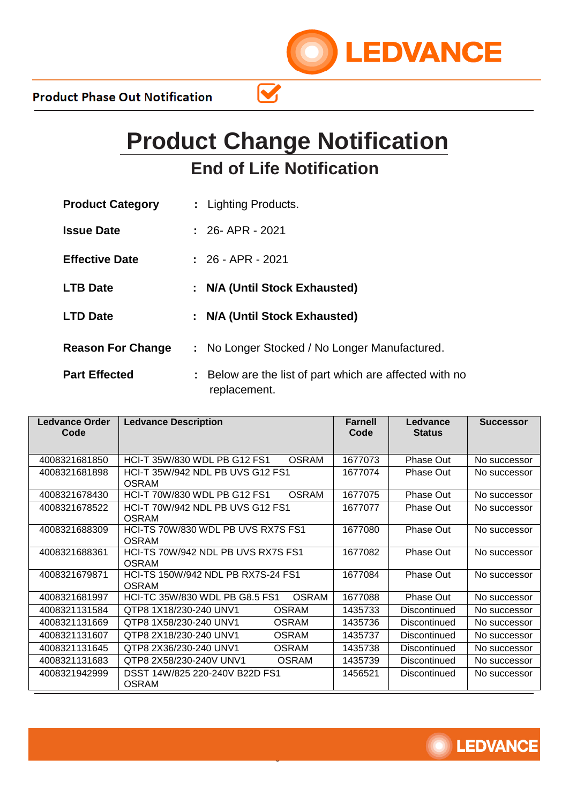

 $\mathbf{\overline{S}}$ 

**LEDVANCE** 

| <b>Product Category</b>  | : Lighting Products.                                                    |
|--------------------------|-------------------------------------------------------------------------|
| <b>Issue Date</b>        | $: 26 - APR - 2021$                                                     |
| <b>Effective Date</b>    | $: 26 - APR - 2021$                                                     |
| <b>LTB Date</b>          | : N/A (Until Stock Exhausted)                                           |
| <b>LTD Date</b>          | : N/A (Until Stock Exhausted)                                           |
| <b>Reason For Change</b> | : No Longer Stocked / No Longer Manufactured.                           |
| <b>Part Effected</b>     | : Below are the list of part which are affected with no<br>replacement. |

| <b>Ledvance Order</b><br>Code | <b>Ledvance Description</b>                             | <b>Farnell</b><br>Code | Ledvance<br><b>Status</b> | <b>Successor</b> |
|-------------------------------|---------------------------------------------------------|------------------------|---------------------------|------------------|
| 4008321681850                 | HCI-T 35W/830 WDL PB G12 FS1<br><b>OSRAM</b>            | 1677073                | Phase Out                 | No successor     |
| 4008321681898                 | HCI-T 35W/942 NDL PB UVS G12 FS1<br><b>OSRAM</b>        | 1677074                | <b>Phase Out</b>          | No successor     |
| 4008321678430                 | HCI-T 70W/830 WDL PB G12 FS1<br><b>OSRAM</b>            | 1677075                | Phase Out                 | No successor     |
| 4008321678522                 | <b>HCI-T 70W/942 NDL PB UVS G12 FS1</b><br><b>OSRAM</b> | 1677077                | <b>Phase Out</b>          | No successor     |
| 4008321688309                 | HCI-TS 70W/830 WDL PB UVS RX7S FS1<br><b>OSRAM</b>      | 1677080                | Phase Out                 | No successor     |
| 4008321688361                 | HCI-TS 70W/942 NDL PB UVS RX7S FS1<br><b>OSRAM</b>      | 1677082                | Phase Out                 | No successor     |
| 4008321679871                 | HCI-TS 150W/942 NDL PB RX7S-24 FS1<br><b>OSRAM</b>      | 1677084                | Phase Out                 | No successor     |
| 4008321681997                 | <b>OSRAM</b><br>HCI-TC 35W/830 WDL PB G8.5 FS1          | 1677088                | Phase Out                 | No successor     |
| 4008321131584                 | <b>OSRAM</b><br>QTP8 1X18/230-240 UNV1                  | 1435733                | Discontinued              | No successor     |
| 4008321131669                 | QTP8 1X58/230-240 UNV1<br><b>OSRAM</b>                  | 1435736                | Discontinued              | No successor     |
| 4008321131607                 | QTP8 2X18/230-240 UNV1<br><b>OSRAM</b>                  | 1435737                | <b>Discontinued</b>       | No successor     |
| 4008321131645                 | QTP8 2X36/230-240 UNV1<br><b>OSRAM</b>                  | 1435738                | Discontinued              | No successor     |
| 4008321131683                 | QTP8 2X58/230-240V UNV1<br><b>OSRAM</b>                 | 1435739                | Discontinued              | No successor     |
| 4008321942999                 | DSST 14W/825 220-240V B22D FS1<br><b>OSRAM</b>          | 1456521                | Discontinued              | No successor     |

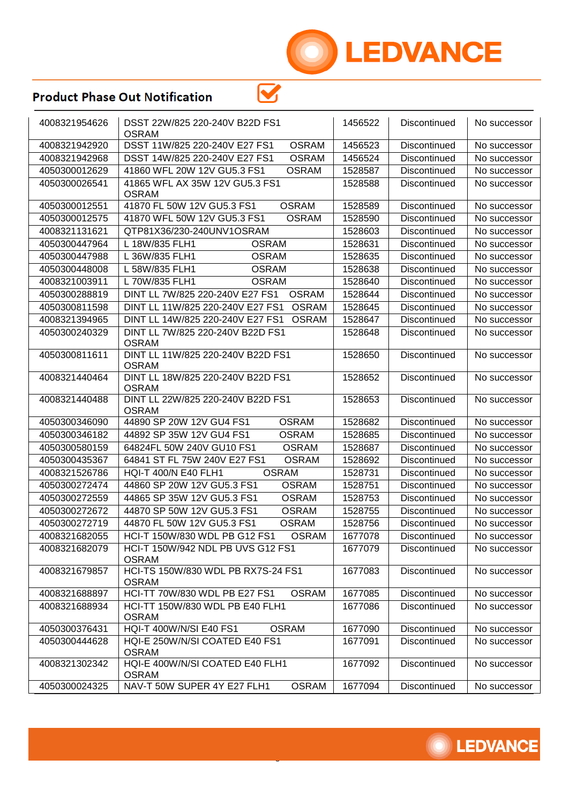

| 4008321954626 | DSST 22W/825 220-240V B22D FS1<br><b>OSRAM</b>     | 1456522 | Discontinued        | No successor |
|---------------|----------------------------------------------------|---------|---------------------|--------------|
| 4008321942920 | DSST 11W/825 220-240V E27 FS1<br><b>OSRAM</b>      | 1456523 | Discontinued        | No successor |
| 4008321942968 | DSST 14W/825 220-240V E27 FS1<br><b>OSRAM</b>      | 1456524 | <b>Discontinued</b> | No successor |
| 4050300012629 | 41860 WFL 20W 12V GU5.3 FS1<br><b>OSRAM</b>        | 1528587 | <b>Discontinued</b> | No successor |
| 4050300026541 | 41865 WFL AX 35W 12V GU5.3 FS1<br><b>OSRAM</b>     | 1528588 | Discontinued        | No successor |
| 4050300012551 | 41870 FL 50W 12V GU5.3 FS1<br><b>OSRAM</b>         | 1528589 | <b>Discontinued</b> | No successor |
| 4050300012575 | 41870 WFL 50W 12V GU5.3 FS1<br><b>OSRAM</b>        | 1528590 | Discontinued        | No successor |
| 4008321131621 | QTP81X36/230-240UNV1OSRAM                          | 1528603 | <b>Discontinued</b> | No successor |
| 4050300447964 | L 18W/835 FLH1<br><b>OSRAM</b>                     | 1528631 | <b>Discontinued</b> | No successor |
| 4050300447988 | L 36W/835 FLH1<br><b>OSRAM</b>                     | 1528635 | Discontinued        | No successor |
| 4050300448008 | <b>OSRAM</b><br>L 58W/835 FLH1                     | 1528638 | Discontinued        | No successor |
| 4008321003911 | L 70W/835 FLH1<br><b>OSRAM</b>                     | 1528640 | Discontinued        | No successor |
| 4050300288819 | DINT LL 7W/825 220-240V E27 FS1<br><b>OSRAM</b>    | 1528644 | <b>Discontinued</b> | No successor |
| 4050300811598 | DINT LL 11W/825 220-240V E27 FS1<br><b>OSRAM</b>   | 1528645 | <b>Discontinued</b> | No successor |
| 4008321394965 | DINT LL 14W/825 220-240V E27 FS1<br><b>OSRAM</b>   | 1528647 | <b>Discontinued</b> | No successor |
| 4050300240329 | DINT LL 7W/825 220-240V B22D FS1<br><b>OSRAM</b>   | 1528648 | Discontinued        | No successor |
| 4050300811611 | DINT LL 11W/825 220-240V B22D FS1<br><b>OSRAM</b>  | 1528650 | Discontinued        | No successor |
| 4008321440464 | DINT LL 18W/825 220-240V B22D FS1<br><b>OSRAM</b>  | 1528652 | Discontinued        | No successor |
| 4008321440488 | DINT LL 22W/825 220-240V B22D FS1<br><b>OSRAM</b>  | 1528653 | Discontinued        | No successor |
| 4050300346090 | 44890 SP 20W 12V GU4 FS1<br><b>OSRAM</b>           | 1528682 | Discontinued        | No successor |
| 4050300346182 | 44892 SP 35W 12V GU4 FS1<br><b>OSRAM</b>           | 1528685 | Discontinued        | No successor |
| 4050300580159 | 64824FL 50W 240V GU10 FS1<br><b>OSRAM</b>          | 1528687 | <b>Discontinued</b> | No successor |
| 4050300435367 | 64841 ST FL 75W 240V E27 FS1<br><b>OSRAM</b>       | 1528692 | Discontinued        | No successor |
| 4008321526786 | HQI-T 400/N E40 FLH1<br><b>OSRAM</b>               | 1528731 | <b>Discontinued</b> | No successor |
| 4050300272474 | 44860 SP 20W 12V GU5.3 FS1<br><b>OSRAM</b>         | 1528751 | <b>Discontinued</b> | No successor |
| 4050300272559 | 44865 SP 35W 12V GU5.3 FS1<br><b>OSRAM</b>         | 1528753 | Discontinued        | No successor |
| 4050300272672 | 44870 SP 50W 12V GU5.3 FS1<br><b>OSRAM</b>         | 1528755 | Discontinued        | No successor |
| 4050300272719 | 44870 FL 50W 12V GU5.3 FS1<br><b>OSRAM</b>         | 1528756 | <b>Discontinued</b> | No successor |
| 4008321682055 | HCI-T 150W/830 WDL PB G12 FS1<br><b>OSRAM</b>      | 1677078 | Discontinued        | No successor |
| 4008321682079 | HCI-T 150W/942 NDL PB UVS G12 FS1<br><b>OSRAM</b>  | 1677079 | Discontinued        | No successor |
| 4008321679857 | HCI-TS 150W/830 WDL PB RX7S-24 FS1<br><b>OSRAM</b> | 1677083 | Discontinued        | No successor |
| 4008321688897 | HCI-TT 70W/830 WDL PB E27 FS1<br><b>OSRAM</b>      | 1677085 | Discontinued        | No successor |
| 4008321688934 | HCI-TT 150W/830 WDL PB E40 FLH1<br><b>OSRAM</b>    | 1677086 | Discontinued        | No successor |
| 4050300376431 | HQI-T 400W/N/SI E40 FS1<br><b>OSRAM</b>            | 1677090 | Discontinued        | No successor |
| 4050300444628 | HQI-E 250W/N/SI COATED E40 FS1<br><b>OSRAM</b>     | 1677091 | Discontinued        | No successor |
| 4008321302342 | HQI-E 400W/N/SI COATED E40 FLH1<br><b>OSRAM</b>    | 1677092 | Discontinued        | No successor |
| 4050300024325 | NAV-T 50W SUPER 4Y E27 FLH1<br><b>OSRAM</b>        | 1677094 | Discontinued        | No successor |

 $\overline{\mathbf{S}}$ 

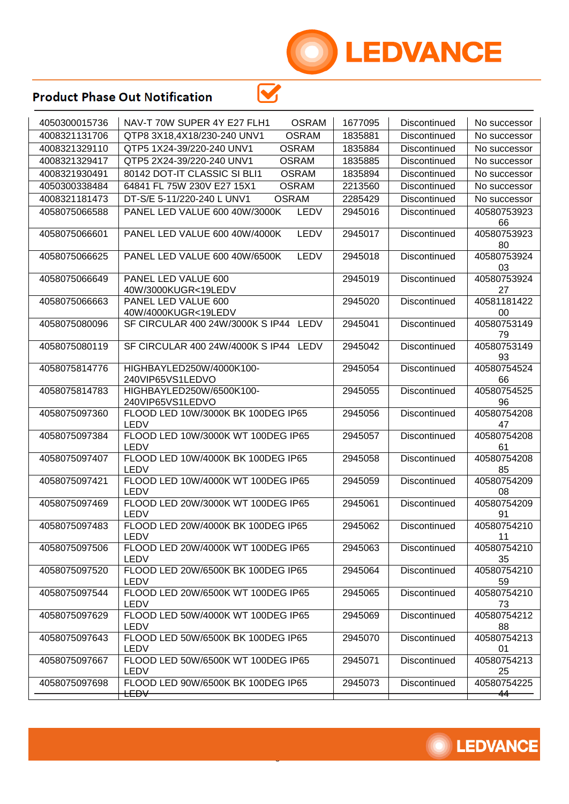

| 4050300015736 | NAV-T 70W SUPER 4Y E27 FLH1<br><b>OSRAM</b>  | 1677095 | Discontinued        | No successor      |
|---------------|----------------------------------------------|---------|---------------------|-------------------|
| 4008321131706 | <b>OSRAM</b><br>QTP8 3X18,4X18/230-240 UNV1  | 1835881 | Discontinued        | No successor      |
| 4008321329110 | QTP5 1X24-39/220-240 UNV1<br><b>OSRAM</b>    | 1835884 | Discontinued        | No successor      |
| 4008321329417 | QTP5 2X24-39/220-240 UNV1<br><b>OSRAM</b>    | 1835885 | Discontinued        | No successor      |
| 4008321930491 | 80142 DOT-IT CLASSIC SI BLI1<br><b>OSRAM</b> | 1835894 | Discontinued        | No successor      |
| 4050300338484 | 64841 FL 75W 230V E27 15X1<br><b>OSRAM</b>   | 2213560 | Discontinued        | No successor      |
| 4008321181473 | DT-S/E 5-11/220-240 L UNV1<br><b>OSRAM</b>   | 2285429 | Discontinued        | No successor      |
| 4058075066588 | PANEL LED VALUE 600 40W/3000K<br>LEDV        | 2945016 | Discontinued        | 40580753923<br>66 |
| 4058075066601 | PANEL LED VALUE 600 40W/4000K<br>LEDV        | 2945017 | Discontinued        | 40580753923<br>80 |
| 4058075066625 | PANEL LED VALUE 600 40W/6500K<br>LEDV        | 2945018 | Discontinued        | 40580753924<br>03 |
| 4058075066649 | PANEL LED VALUE 600<br>40W/3000KUGR<19LEDV   | 2945019 | Discontinued        | 40580753924<br>27 |
| 4058075066663 | PANEL LED VALUE 600<br>40W/4000KUGR<19LEDV   | 2945020 | <b>Discontinued</b> | 40581181422<br>00 |
| 4058075080096 | SF CIRCULAR 400 24W/3000K S IP44 LEDV        | 2945041 | Discontinued        | 40580753149<br>79 |
| 4058075080119 | SF CIRCULAR 400 24W/4000K S IP44 LEDV        | 2945042 | Discontinued        | 40580753149<br>93 |
| 4058075814776 | HIGHBAYLED250W/4000K100-<br>240VIP65VS1LEDVO | 2945054 | <b>Discontinued</b> | 40580754524<br>66 |
| 4058075814783 | HIGHBAYLED250W/6500K100-<br>240VIP65VS1LEDVO | 2945055 | <b>Discontinued</b> | 40580754525<br>96 |
| 4058075097360 | FLOOD LED 10W/3000K BK 100DEG IP65<br>LEDV   | 2945056 | Discontinued        | 40580754208<br>47 |
| 4058075097384 | FLOOD LED 10W/3000K WT 100DEG IP65<br>LEDV   | 2945057 | Discontinued        | 40580754208<br>61 |
| 4058075097407 | FLOOD LED 10W/4000K BK 100DEG IP65<br>LEDV   | 2945058 | Discontinued        | 40580754208<br>85 |
| 4058075097421 | FLOOD LED 10W/4000K WT 100DEG IP65<br>LEDV   | 2945059 | Discontinued        | 40580754209<br>08 |
| 4058075097469 | FLOOD LED 20W/3000K WT 100DEG IP65<br>LEDV   | 2945061 | Discontinued        | 40580754209<br>91 |
| 4058075097483 | FLOOD LED 20W/4000K BK 100DEG IP65<br>LEDV   | 2945062 | Discontinued        | 40580754210<br>11 |
| 4058075097506 | FLOOD LED 20W/4000K WT 100DEG IP65<br>LEDV   | 2945063 | Discontinued        | 40580754210<br>35 |
| 4058075097520 | FLOOD LED 20W/6500K BK 100DEG IP65<br>LEDV   | 2945064 | Discontinued        | 40580754210<br>59 |
| 4058075097544 | FLOOD LED 20W/6500K WT 100DEG IP65<br>LEDV   | 2945065 | <b>Discontinued</b> | 40580754210<br>73 |
| 4058075097629 | FLOOD LED 50W/4000K WT 100DEG IP65<br>LEDV   | 2945069 | Discontinued        | 40580754212<br>88 |
| 4058075097643 | FLOOD LED 50W/6500K BK 100DEG IP65<br>LEDV   | 2945070 | Discontinued        | 40580754213<br>01 |
| 4058075097667 | FLOOD LED 50W/6500K WT 100DEG IP65<br>LEDV   | 2945071 | Discontinued        | 40580754213<br>25 |
| 4058075097698 | FLOOD LED 90W/6500K BK 100DEG IP65           | 2945073 | Discontinued        | 40580754225       |
|               | $t$ EÐ $\forall$                             |         |                     | -44               |

 $\overline{\mathbf{S}}$ 

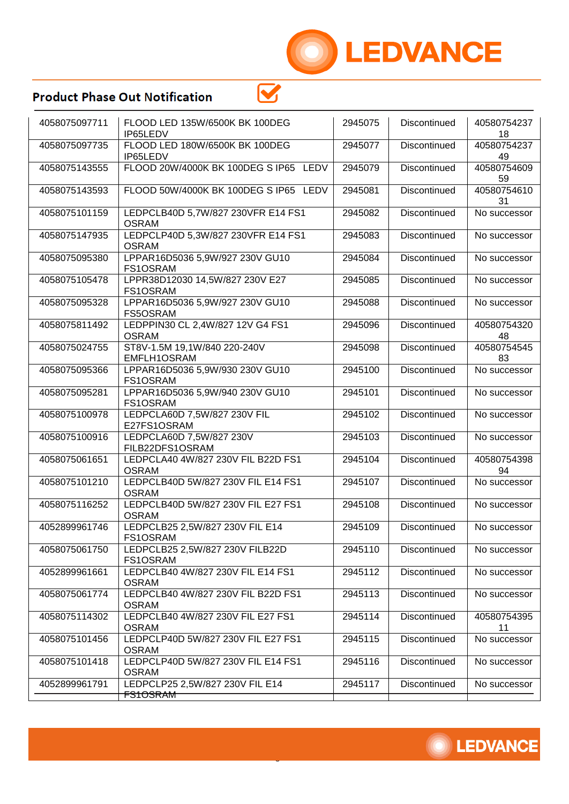

| 4058075097711 | FLOOD LED 135W/6500K BK 100DEG<br>IP65LEDV             | 2945075 | Discontinued        | 40580754237<br>18 |
|---------------|--------------------------------------------------------|---------|---------------------|-------------------|
| 4058075097735 | FLOOD LED 180W/6500K BK 100DEG<br>IP65LEDV             | 2945077 | Discontinued        | 40580754237<br>49 |
| 4058075143555 | FLOOD 20W/4000K BK 100DEG S IP65 LEDV                  | 2945079 | Discontinued        | 40580754609<br>59 |
| 4058075143593 | FLOOD 50W/4000K BK 100DEG S IP65 LEDV                  | 2945081 | Discontinued        | 40580754610<br>31 |
| 4058075101159 | LEDPCLB40D 5,7W/827 230VFR E14 FS1<br><b>OSRAM</b>     | 2945082 | Discontinued        | No successor      |
| 4058075147935 | LEDPCLP40D 5,3W/827 230VFR E14 FS1<br><b>OSRAM</b>     | 2945083 | <b>Discontinued</b> | No successor      |
| 4058075095380 | LPPAR16D5036 5,9W/927 230V GU10<br>FS1OSRAM            | 2945084 | Discontinued        | No successor      |
| 4058075105478 | LPPR38D12030 14,5W/827 230V E27<br>FS1OSRAM            | 2945085 | Discontinued        | No successor      |
| 4058075095328 | LPPAR16D5036 5,9W/927 230V GU10<br>FS5OSRAM            | 2945088 | Discontinued        | No successor      |
| 4058075811492 | LEDPPIN30 CL 2,4W/827 12V G4 FS1<br><b>OSRAM</b>       | 2945096 | Discontinued        | 40580754320<br>48 |
| 4058075024755 | ST8V-1.5M 19,1W/840 220-240V<br>EMFLH1OSRAM            | 2945098 | Discontinued        | 40580754545<br>83 |
| 4058075095366 | LPPAR16D5036 5,9W/930 230V GU10<br>FS1OSRAM            | 2945100 | <b>Discontinued</b> | No successor      |
| 4058075095281 | LPPAR16D5036 5,9W/940 230V GU10<br>FS1OSRAM            | 2945101 | Discontinued        | No successor      |
| 4058075100978 | LEDPCLA60D 7,5W/827 230V FIL<br>E27FS1OSRAM            | 2945102 | Discontinued        | No successor      |
| 4058075100916 | LEDPCLA60D 7,5W/827 230V<br>FILB22DFS1OSRAM            | 2945103 | Discontinued        | No successor      |
| 4058075061651 | LEDPCLA40 4W/827 230V FIL B22D FS1<br><b>OSRAM</b>     | 2945104 | Discontinued        | 40580754398<br>94 |
| 4058075101210 | LEDPCLB40D 5W/827 230V FIL E14 FS1<br><b>OSRAM</b>     | 2945107 | Discontinued        | No successor      |
| 4058075116252 | LEDPCLB40D 5W/827 230V FIL E27 FS1<br><b>OSRAM</b>     | 2945108 | Discontinued        | No successor      |
| 4052899961746 | LEDPCLB25 2,5W/827 230V FIL E14<br>FS1OSRAM            | 2945109 | Discontinued        | No successor      |
| 4058075061750 | LEDPCLB25 2,5W/827 230V FILB22D<br>FS1OSRAM            | 2945110 | Discontinued        | No successor      |
| 4052899961661 | LEDPCLB40 4W/827 230V FIL E14 FS1<br><b>OSRAM</b>      | 2945112 | Discontinued        | No successor      |
| 4058075061774 | LEDPCLB40 4W/827 230V FIL B22D FS1<br><b>OSRAM</b>     | 2945113 | Discontinued        | No successor      |
| 4058075114302 | LEDPCLB40 4W/827 230V FIL E27 FS1<br><b>OSRAM</b>      | 2945114 | Discontinued        | 40580754395<br>11 |
| 4058075101456 | LEDPCLP40D 5W/827 230V FIL E27 FS1<br><b>OSRAM</b>     | 2945115 | Discontinued        | No successor      |
| 4058075101418 | LEDPCLP40D 5W/827 230V FIL E14 FS1<br><b>OSRAM</b>     | 2945116 | Discontinued        | No successor      |
| 4052899961791 | LEDPCLP25 2,5W/827 230V FIL E14<br><del>FS1OSRAM</del> | 2945117 | Discontinued        | No successor      |
|               |                                                        |         |                     |                   |

 $\mathbf{\overline{S}}$ 

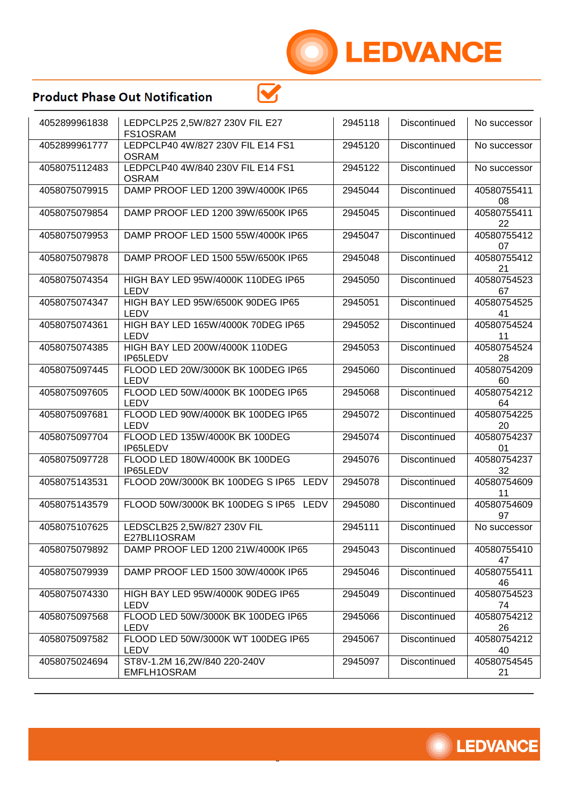

| 4052899961838 | LEDPCLP25 2,5W/827 230V FIL E27<br>FS1OSRAM       | 2945118 | Discontinued | No successor      |
|---------------|---------------------------------------------------|---------|--------------|-------------------|
| 4052899961777 | LEDPCLP40 4W/827 230V FIL E14 FS1<br><b>OSRAM</b> | 2945120 | Discontinued | No successor      |
| 4058075112483 | LEDPCLP40 4W/840 230V FIL E14 FS1<br><b>OSRAM</b> | 2945122 | Discontinued | No successor      |
| 4058075079915 | DAMP PROOF LED 1200 39W/4000K IP65                | 2945044 | Discontinued | 40580755411<br>08 |
| 4058075079854 | DAMP PROOF LED 1200 39W/6500K IP65                | 2945045 | Discontinued | 40580755411<br>22 |
| 4058075079953 | DAMP PROOF LED 1500 55W/4000K IP65                | 2945047 | Discontinued | 40580755412<br>07 |
| 4058075079878 | DAMP PROOF LED 1500 55W/6500K IP65                | 2945048 | Discontinued | 40580755412<br>21 |
| 4058075074354 | HIGH BAY LED 95W/4000K 110DEG IP65<br>LEDV        | 2945050 | Discontinued | 40580754523<br>67 |
| 4058075074347 | HIGH BAY LED 95W/6500K 90DEG IP65<br>LEDV         | 2945051 | Discontinued | 40580754525<br>41 |
| 4058075074361 | HIGH BAY LED 165W/4000K 70DEG IP65<br>LEDV        | 2945052 | Discontinued | 40580754524<br>11 |
| 4058075074385 | HIGH BAY LED 200W/4000K 110DEG<br>IP65LEDV        | 2945053 | Discontinued | 40580754524<br>28 |
| 4058075097445 | FLOOD LED 20W/3000K BK 100DEG IP65<br>LEDV        | 2945060 | Discontinued | 40580754209<br>60 |
| 4058075097605 | FLOOD LED 50W/4000K BK 100DEG IP65<br>LEDV        | 2945068 | Discontinued | 40580754212<br>64 |
| 4058075097681 | FLOOD LED 90W/4000K BK 100DEG IP65<br>LEDV        | 2945072 | Discontinued | 40580754225<br>20 |
| 4058075097704 | FLOOD LED 135W/4000K BK 100DEG<br>IP65LEDV        | 2945074 | Discontinued | 40580754237<br>01 |
| 4058075097728 | FLOOD LED 180W/4000K BK 100DEG<br>IP65LEDV        | 2945076 | Discontinued | 40580754237<br>32 |
| 4058075143531 | FLOOD 20W/3000K BK 100DEG S IP65<br>LEDV          | 2945078 | Discontinued | 40580754609<br>11 |
| 4058075143579 | FLOOD 50W/3000K BK 100DEG S IP65 LEDV             | 2945080 | Discontinued | 40580754609<br>97 |
| 4058075107625 | LEDSCLB25 2,5W/827 230V FIL<br>E27BLI1OSRAM       | 2945111 | Discontinued | No successor      |
| 4058075079892 | DAMP PROOF LED 1200 21W/4000K IP65                | 2945043 | Discontinued | 40580755410<br>47 |
| 4058075079939 | DAMP PROOF LED 1500 30W/4000K IP65                | 2945046 | Discontinued | 40580755411<br>46 |
| 4058075074330 | HIGH BAY LED 95W/4000K 90DEG IP65<br>LEDV         | 2945049 | Discontinued | 40580754523<br>74 |
| 4058075097568 | FLOOD LED 50W/3000K BK 100DEG IP65<br>LEDV        | 2945066 | Discontinued | 40580754212<br>26 |
| 4058075097582 | FLOOD LED 50W/3000K WT 100DEG IP65<br>LEDV        | 2945067 | Discontinued | 40580754212<br>40 |
| 4058075024694 | ST8V-1.2M 16,2W/840 220-240V<br>EMFLH1OSRAM       | 2945097 | Discontinued | 40580754545<br>21 |

 $\overline{\mathbf{S}}$